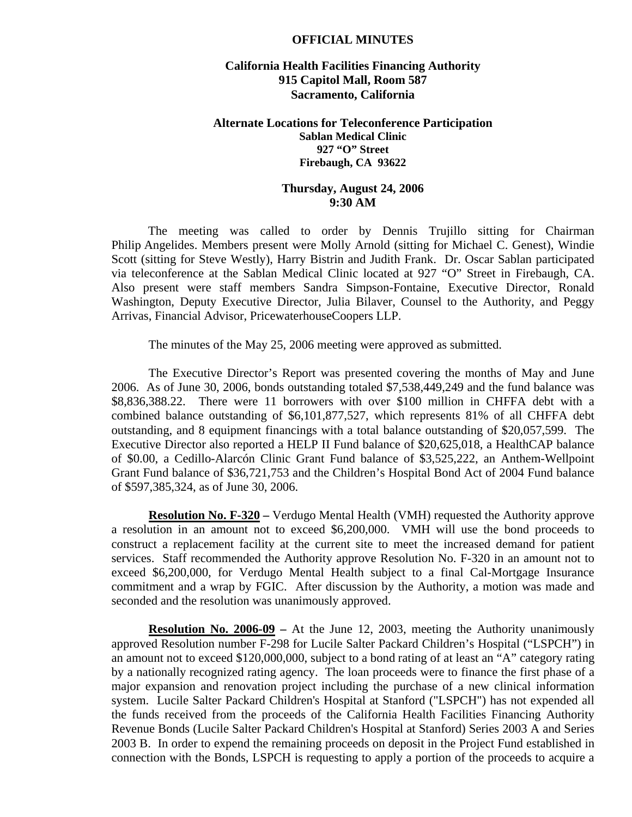#### **OFFICIAL MINUTES**

## **California Health Facilities Financing Authority 915 Capitol Mall, Room 587 Sacramento, California**

### **Alternate Locations for Teleconference Participation Sablan Medical Clinic 927 "O" Street Firebaugh, CA 93622**

## **Thursday, August 24, 2006 9:30 AM**

 The meeting was called to order by Dennis Trujillo sitting for Chairman Philip Angelides. Members present were Molly Arnold (sitting for Michael C. Genest), Windie Scott (sitting for Steve Westly), Harry Bistrin and Judith Frank. Dr. Oscar Sablan participated via teleconference at the Sablan Medical Clinic located at 927 "O" Street in Firebaugh, CA. Also present were staff members Sandra Simpson-Fontaine, Executive Director, Ronald Washington, Deputy Executive Director, Julia Bilaver, Counsel to the Authority, and Peggy Arrivas, Financial Advisor, PricewaterhouseCoopers LLP.

The minutes of the May 25, 2006 meeting were approved as submitted.

 The Executive Director's Report was presented covering the months of May and June 2006. As of June 30, 2006, bonds outstanding totaled \$7,538,449,249 and the fund balance was \$8,836,388.22. There were 11 borrowers with over \$100 million in CHFFA debt with a combined balance outstanding of \$6,101,877,527, which represents 81% of all CHFFA debt outstanding, and 8 equipment financings with a total balance outstanding of \$20,057,599. The Executive Director also reported a HELP II Fund balance of \$20,625,018, a HealthCAP balance of \$0.00, a Cedillo-Alarcón Clinic Grant Fund balance of \$3,525,222, an Anthem-Wellpoint Grant Fund balance of \$36,721,753 and the Children's Hospital Bond Act of 2004 Fund balance of \$597,385,324, as of June 30, 2006.

**Resolution No. F-320 –** Verdugo Mental Health (VMH) requested the Authority approve a resolution in an amount not to exceed \$6,200,000. VMH will use the bond proceeds to construct a replacement facility at the current site to meet the increased demand for patient services. Staff recommended the Authority approve Resolution No. F-320 in an amount not to exceed \$6,200,000, for Verdugo Mental Health subject to a final Cal-Mortgage Insurance commitment and a wrap by FGIC. After discussion by the Authority, a motion was made and seconded and the resolution was unanimously approved.

**Resolution No. 2006-09 –** At the June 12, 2003, meeting the Authority unanimously approved Resolution number F-298 for Lucile Salter Packard Children's Hospital ("LSPCH") in an amount not to exceed \$120,000,000, subject to a bond rating of at least an "A" category rating by a nationally recognized rating agency. The loan proceeds were to finance the first phase of a major expansion and renovation project including the purchase of a new clinical information system. Lucile Salter Packard Children's Hospital at Stanford ("LSPCH") has not expended all the funds received from the proceeds of the California Health Facilities Financing Authority Revenue Bonds (Lucile Salter Packard Children's Hospital at Stanford) Series 2003 A and Series 2003 B. In order to expend the remaining proceeds on deposit in the Project Fund established in connection with the Bonds, LSPCH is requesting to apply a portion of the proceeds to acquire a